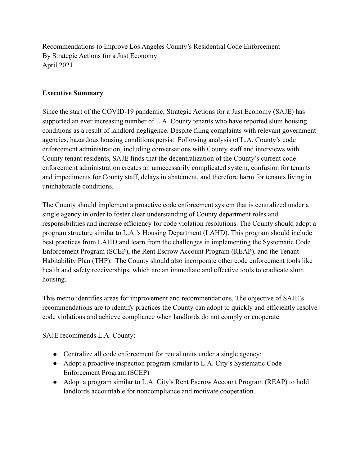Recommendations to Improve Los Angeles County's Residential Code Enforcement By Strategic Actions for a Just Economy April 2021

#### **Executive Summary**

Since the start of the COVID-19 pandemic, Strategic Actions for a Just Economy (SAJE) has supported an ever increasing number of L.A. County tenants who have reported slum housing conditions as a result of landlord negligence. Despite filing complaints with relevant government agencies, hazardous housing conditions persist. Following analysis of L.A. County's code enforcement administration, including conversations with County staff and interviews with County tenant residents, SAJE finds that the decentralization of the County's current code enforcement administration creates an unnecessarily complicated system, confusion for tenants and impediments for County staff, delays in abatement, and therefore harm for tenants living in uninhabitable conditions.

 $\mathcal{L}_\mathcal{L} = \{ \mathcal{L}_\mathcal{L} = \{ \mathcal{L}_\mathcal{L} = \{ \mathcal{L}_\mathcal{L} = \{ \mathcal{L}_\mathcal{L} = \{ \mathcal{L}_\mathcal{L} = \{ \mathcal{L}_\mathcal{L} = \{ \mathcal{L}_\mathcal{L} = \{ \mathcal{L}_\mathcal{L} = \{ \mathcal{L}_\mathcal{L} = \{ \mathcal{L}_\mathcal{L} = \{ \mathcal{L}_\mathcal{L} = \{ \mathcal{L}_\mathcal{L} = \{ \mathcal{L}_\mathcal{L} = \{ \mathcal{L}_\mathcal{$ 

The County should implement a proactive code enforcement system that is centralized under a single agency in order to foster clear understanding of County department roles and responsibilities and increase efficiency for code violation resolutions. The County should adopt a program structure similar to L.A.'s Housing Department (LAHD). This program should include best practices from LAHD and learn from the challenges in implementing the Systematic Code Enforcement Program (SCEP), the Rent Escrow Account Program (REAP), and the Tenant Habitability Plan (THP). The County should also incorporate other code enforcement tools like health and safety receiverships, which are an immediate and effective tools to eradicate slum housing.

This memo identifies areas for improvement and recommendations. The objective of SAJE's recommendations are to identify practices the County can adopt to quickly and efficiently resolve code violations and achieve compliance when landlords do not comply or cooperate.

SAJE recommends L.A. County:

- Centralize all code enforcement for rental units under a single agency:
- Adopt a proactive inspection program similar to L.A. City's Systematic Code Enforcement Program (SCEP)
- Adopt a program similar to L.A. City's Rent Escrow Account Program (REAP) to hold landlords accountable for noncompliance and motivate cooperation.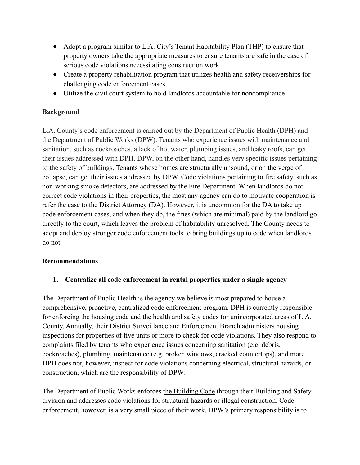- Adopt a program similar to L.A. City's Tenant Habitability Plan (THP) to ensure that property owners take the appropriate measures to ensure tenants are safe in the case of serious code violations necessitating construction work
- Create a property rehabilitation program that utilizes health and safety receiverships for challenging code enforcement cases
- Utilize the civil court system to hold landlords accountable for noncompliance

### **Background**

L.A. County's code enforcement is carried out by the Department of Public Health (DPH) and the Department of Public Works (DPW). Tenants who experience issues with maintenance and sanitation, such as cockroaches, a lack of hot water, plumbing issues, and leaky roofs, can get their issues addressed with DPH. DPW, on the other hand, handles very specific issues pertaining to the safety of buildings. Tenants whose homes are structurally unsound, or on the verge of collapse, can get their issues addressed by DPW. Code violations pertaining to fire safety, such as non-working smoke detectors, are addressed by the Fire Department. When landlords do not correct code violations in their properties, the most any agency can do to motivate cooperation is refer the case to the District Attorney (DA). However, it is uncommon for the DA to take up code enforcement cases, and when they do, the fines (which are minimal) paid by the landlord go directly to the court, which leaves the problem of habitability unresolved. The County needs to adopt and deploy stronger code enforcement tools to bring buildings up to code when landlords do not.

#### **Recommendations**

### **1. Centralize all code enforcement in rental properties under a single agency**

The Department of Public Health is the agency we believe is most prepared to house a comprehensive, proactive, centralized code enforcement program. DPH is currently responsible for enforcing the housing code and the health and safety codes for unincorporated areas of L.A. County. Annually, their District Surveillance and Enforcement Branch administers housing inspections for properties of five units or more to check for code violations. They also respond to complaints filed by tenants who experience issues concerning sanitation (e.g. debris, cockroaches), plumbing, maintenance (e.g. broken windows, cracked countertops), and more. DPH does not, however, inspect for code violations concerning electrical, structural hazards, or construction, which are the responsibility of DPW.

The Department of Public Works enforces the [Building](http://lacounty-ca.elaws.us/code/coor_title26) Code through their Building and Safety division and addresses code violations for structural hazards or illegal construction. Code enforcement, however, is a very small piece of their work. DPW's primary responsibility is to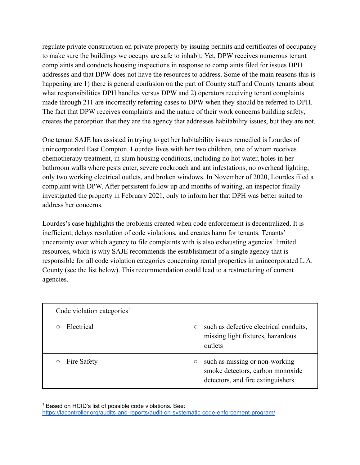regulate private construction on private property by issuing permits and certificates of occupancy to make sure the buildings we occupy are safe to inhabit. Yet, DPW receives numerous tenant complaints and conducts housing inspections in response to complaints filed for issues DPH addresses and that DPW does not have the resources to address. Some of the main reasons this is happening are 1) there is general confusion on the part of County staff and County tenants about what responsibilities DPH handles versus DPW and 2) operators receiving tenant complaints made through 211 are incorrectly referring cases to DPW when they should be referred to DPH. The fact that DPW receives complaints and the nature of their work concerns building safety, creates the perception that they are the agency that addresses habitability issues, but they are not.

One tenant SAJE has assisted in trying to get her habitability issues remedied is Lourdes of unincorporated East Compton. Lourdes lives with her two children, one of whom receives chemotherapy treatment, in slum housing conditions, including no hot water, holes in her bathroom walls where pests enter, severe cockroach and ant infestations, no overhead lighting, only two working electrical outlets, and broken windows. In November of 2020, Lourdes filed a complaint with DPW. After persistent follow up and months of waiting, an inspector finally investigated the property in February 2021, only to inform her that DPH was better suited to address her concerns.

Lourdes's case highlights the problems created when code enforcement is decentralized. It is inefficient, delays resolution of code violations, and creates harm for tenants. Tenants' uncertainty over which agency to file complaints with is also exhausting agencies' limited resources, which is why SAJE recommends the establishment of a single agency that is responsible for all code violation categories concerning rental properties in unincorporated L.A. County (see the list below). This recommendation could lead to a restructuring of current agencies.

| Code violation categories <sup>1</sup> |                                                                                                                                |
|----------------------------------------|--------------------------------------------------------------------------------------------------------------------------------|
| Electrical                             | such as defective electrical conduits,<br>$\circlearrowright$<br>missing light fixtures, hazardous<br>outlets                  |
| Fire Safety                            | such as missing or non-working<br>$\circlearrowright$<br>smoke detectors, carbon monoxide<br>detectors, and fire extinguishers |

<sup>&</sup>lt;sup>1</sup> Based on HCID's list of possible code violations. See:

<https://lacontroller.org/audits-and-reports/audit-on-systematic-code-enforcement-program/>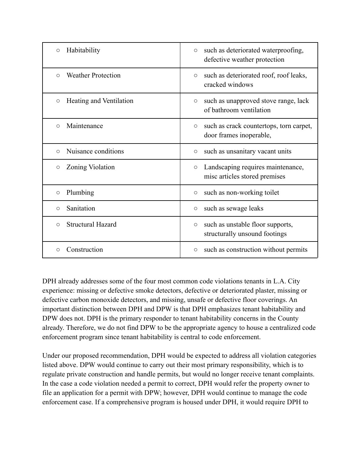| Habitability<br>$\circ$              | such as deteriorated waterproofing,<br>$\circ$<br>defective weather protection   |
|--------------------------------------|----------------------------------------------------------------------------------|
| <b>Weather Protection</b><br>$\circ$ | such as deteriorated roof, roof leaks,<br>$\circ$<br>cracked windows             |
| Heating and Ventilation<br>$\circ$   | such as unapproved stove range, lack<br>$\circ$<br>of bathroom ventilation       |
| Maintenance<br>$\circ$               | such as crack countertops, torn carpet,<br>$\circ$<br>door frames inoperable,    |
| Nuisance conditions<br>$\circ$       | such as unsanitary vacant units<br>$\circ$                                       |
| Zoning Violation<br>$\circ$          | Landscaping requires maintenance,<br>$\bigcirc$<br>misc articles stored premises |
| Plumbing<br>$\circ$                  | such as non-working toilet<br>$\bigcirc$                                         |
| Sanitation<br>O                      | such as sewage leaks<br>$\circ$                                                  |
| <b>Structural Hazard</b><br>O        | such as unstable floor supports,<br>$\circ$<br>structurally unsound footings     |
| Construction<br>$\bigcirc$           | such as construction without permits<br>$\circ$                                  |

DPH already addresses some of the four most common code violations tenants in L.A. City experience: missing or defective smoke detectors, defective or deteriorated plaster, missing or defective carbon monoxide detectors, and missing, unsafe or defective floor coverings. An important distinction between DPH and DPW is that DPH emphasizes tenant habitability and DPW does not. DPH is the primary responder to tenant habitability concerns in the County already. Therefore, we do not find DPW to be the appropriate agency to house a centralized code enforcement program since tenant habitability is central to code enforcement.

Under our proposed recommendation, DPH would be expected to address all violation categories listed above. DPW would continue to carry out their most primary responsibility, which is to regulate private construction and handle permits, but would no longer receive tenant complaints. In the case a code violation needed a permit to correct, DPH would refer the property owner to file an application for a permit with DPW; however, DPH would continue to manage the code enforcement case. If a comprehensive program is housed under DPH, it would require DPH to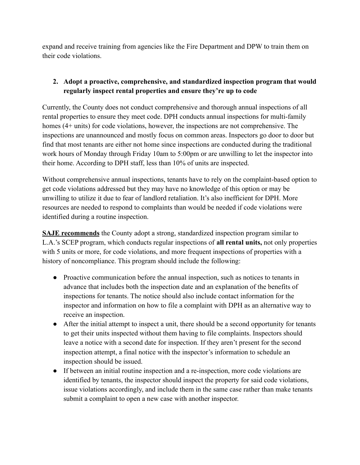expand and receive training from agencies like the Fire Department and DPW to train them on their code violations.

# **2. Adopt a proactive, comprehensive, and standardized inspection program that would regularly inspect rental properties and ensure they're up to code**

Currently, the County does not conduct comprehensive and thorough annual inspections of all rental properties to ensure they meet code. DPH conducts annual inspections for multi-family homes (4+ units) for code violations, however, the inspections are not comprehensive. The inspections are unannounced and mostly focus on common areas. Inspectors go door to door but find that most tenants are either not home since inspections are conducted during the traditional work hours of Monday through Friday 10am to 5:00pm or are unwilling to let the inspector into their home. According to DPH staff, less than 10% of units are inspected.

Without comprehensive annual inspections, tenants have to rely on the complaint-based option to get code violations addressed but they may have no knowledge of this option or may be unwilling to utilize it due to fear of landlord retaliation. It's also inefficient for DPH. More resources are needed to respond to complaints than would be needed if code violations were identified during a routine inspection.

**SAJE recommends** the County adopt a strong, standardized inspection program similar to L.A.'s SCEP program, which conducts regular inspections of **all rental units,** not only properties with 5 units or more, for code violations, and more frequent inspections of properties with a history of noncompliance. This program should include the following:

- Proactive communication before the annual inspection, such as notices to tenants in advance that includes both the inspection date and an explanation of the benefits of inspections for tenants. The notice should also include contact information for the inspector and information on how to file a complaint with DPH as an alternative way to receive an inspection.
- After the initial attempt to inspect a unit, there should be a second opportunity for tenants to get their units inspected without them having to file complaints. Inspectors should leave a notice with a second date for inspection. If they aren't present for the second inspection attempt, a final notice with the inspector's information to schedule an inspection should be issued.
- If between an initial routine inspection and a re-inspection, more code violations are identified by tenants, the inspector should inspect the property for said code violations, issue violations accordingly, and include them in the same case rather than make tenants submit a complaint to open a new case with another inspector.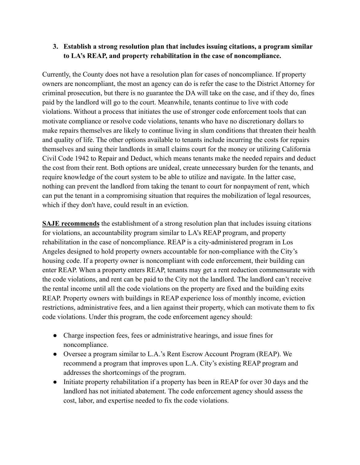### **3. Establish a strong resolution plan that includes issuing citations, a program similar to LA's REAP, and property rehabilitation in the case of noncompliance.**

Currently, the County does not have a resolution plan for cases of noncompliance. If property owners are noncompliant, the most an agency can do is refer the case to the District Attorney for criminal prosecution, but there is no guarantee the DA will take on the case, and if they do, fines paid by the landlord will go to the court. Meanwhile, tenants continue to live with code violations. Without a process that initiates the use of stronger code enforcement tools that can motivate compliance or resolve code violations, tenants who have no discretionary dollars to make repairs themselves are likely to continue living in slum conditions that threaten their health and quality of life. The other options available to tenants include incurring the costs for repairs themselves and suing their landlords in small claims court for the money or utilizing California Civil Code 1942 to Repair and Deduct, which means tenants make the needed repairs and deduct the cost from their rent. Both options are unideal, create unnecessary burden for the tenants, and require knowledge of the court system to be able to utilize and navigate. In the latter case, nothing can prevent the landlord from taking the tenant to court for nonpayment of rent, which can put the tenant in a compromising situation that requires the mobilization of legal resources, which if they don't have, could result in an eviction.

**SAJE recommends** the establishment of a strong resolution plan that includes issuing citations for violations, an accountability program similar to LA's REAP program, and property rehabilitation in the case of noncompliance. REAP is a city-administered program in Los Angeles designed to hold property owners accountable for non-compliance with the City's housing code. If a property owner is noncompliant with code enforcement, their building can enter REAP. When a property enters REAP, tenants may get a rent reduction commensurate with the code violations, and rent can be paid to the City not the landlord. The landlord can't receive the rental income until all the code violations on the property are fixed and the building exits REAP. Property owners with buildings in REAP experience loss of monthly income, eviction restrictions, administrative fees, and a lien against their property, which can motivate them to fix code violations. Under this program, the code enforcement agency should:

- Charge inspection fees, fees or administrative hearings, and issue fines for noncompliance.
- Oversee a program similar to L.A.'s Rent Escrow Account Program (REAP). We recommend a program that improves upon L.A. City's existing REAP program and addresses the shortcomings of the program.
- Initiate property rehabilitation if a property has been in REAP for over 30 days and the landlord has not initiated abatement. The code enforcement agency should assess the cost, labor, and expertise needed to fix the code violations.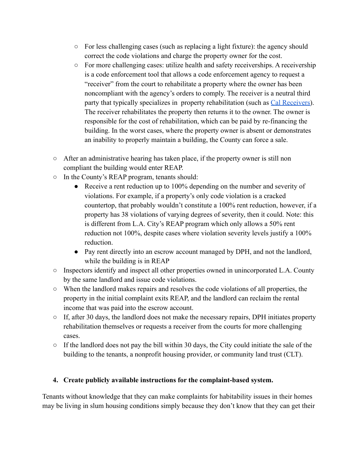- $\circ$  For less challenging cases (such as replacing a light fixture): the agency should correct the code violations and charge the property owner for the cost.
- For more challenging cases: utilize health and safety receiverships. A receivership is a code enforcement tool that allows a code enforcement agency to request a "receiver" from the court to rehabilitate a property where the owner has been noncompliant with the agency's orders to comply. The receiver is a neutral third party that typically specializes in property rehabilitation (such as [Cal Receivers\)](https://www.calreceivers.com/?ss_source=googads&ss_campaign_name=Code+Enf&ss_keyword=cal%20receiver&ss_placement=&ss_device=c&ss_matchtype=p&ss_ad_id=431936437357&ss_adset_id=95761275818&ss_campaign_id=9316813172&ss_target_id=kwd-874271120565&gclid=Cj0KCQjw2NyFBhDoARIsAMtHtZ5dITfmcGrwt-FwF9Go4IuDgHDFKfJCHGPwJgJr_bUEIiJ7Aflo5MMaAo4KEALw_wcB). The receiver rehabilitates the property then returns it to the owner. The owner is responsible for the cost of rehabilitation, which can be paid by re-financing the building. In the worst cases, where the property owner is absent or demonstrates an inability to properly maintain a building, the County can force a sale.
- $\circ$  After an administrative hearing has taken place, if the property owner is still non compliant the building would enter REAP.
- In the County's REAP program, tenants should:
	- Receive a rent reduction up to 100% depending on the number and severity of violations. For example, if a property's only code violation is a cracked countertop, that probably wouldn't constitute a 100% rent reduction, however, if a property has 38 violations of varying degrees of severity, then it could. Note: this is different from L.A. City's REAP program which only allows a 50% rent reduction not 100%, despite cases where violation severity levels justify a 100% reduction.
	- Pay rent directly into an escrow account managed by DPH, and not the landlord, while the building is in REAP
- Inspectors identify and inspect all other properties owned in unincorporated L.A. County by the same landlord and issue code violations.
- When the landlord makes repairs and resolves the code violations of all properties, the property in the initial complaint exits REAP, and the landlord can reclaim the rental income that was paid into the escrow account.
- If, after 30 days, the landlord does not make the necessary repairs, DPH initiates property rehabilitation themselves or requests a receiver from the courts for more challenging cases.
- $\circ$  If the landlord does not pay the bill within 30 days, the City could initiate the sale of the building to the tenants, a nonprofit housing provider, or community land trust (CLT).

### **4. Create publicly available instructions for the complaint-based system.**

Tenants without knowledge that they can make complaints for habitability issues in their homes may be living in slum housing conditions simply because they don't know that they can get their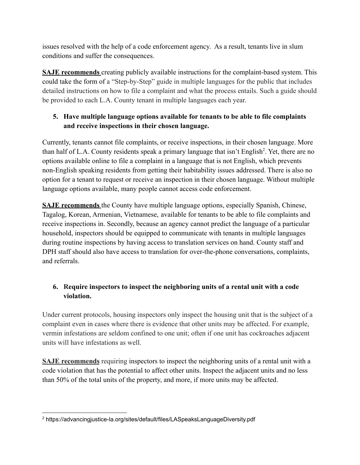issues resolved with the help of a code enforcement agency. As a result, tenants live in slum conditions and suffer the consequences.

**SAJE recommends** creating publicly available instructions for the complaint-based system. This could take the form of a "Step-by-Step" guide in multiple languages for the public that includes detailed instructions on how to file a complaint and what the process entails. Such a guide should be provided to each L.A. County tenant in multiple languages each year.

# **5. Have multiple language options available for tenants to be able to file complaints and receive inspections in their chosen language.**

Currently, tenants cannot file complaints, or receive inspections, in their chosen language. More than half of L.A. County residents speak a primary language that isn't English<sup>2</sup>. Yet, there are no options available online to file a complaint in a language that is not English, which prevents non-English speaking residents from getting their habitability issues addressed. There is also no option for a tenant to request or receive an inspection in their chosen language. Without multiple language options available, many people cannot access code enforcement.

**SAJE recommends** the County have multiple language options, especially Spanish, Chinese, Tagalog, Korean, Armenian, Vietnamese, available for tenants to be able to file complaints and receive inspections in. Secondly, because an agency cannot predict the language of a particular household, inspectors should be equipped to communicate with tenants in multiple languages during routine inspections by having access to translation services on hand. County staff and DPH staff should also have access to translation for over-the-phone conversations, complaints, and referrals.

# **6. Require inspectors to inspect the neighboring units of a rental unit with a code violation.**

Under current protocols, housing inspectors only inspect the housing unit that is the subject of a complaint even in cases where there is evidence that other units may be affected. For example, vermin infestations are seldom confined to one unit; often if one unit has cockroaches adjacent units will have infestations as well.

**SAJE recommends** requiring inspectors to inspect the neighboring units of a rental unit with a code violation that has the potential to affect other units. Inspect the adjacent units and no less than 50% of the total units of the property, and more, if more units may be affected.

<sup>2</sup> https://advancingjustice-la.org/sites/default/files/LASpeaksLanguageDiversity.pdf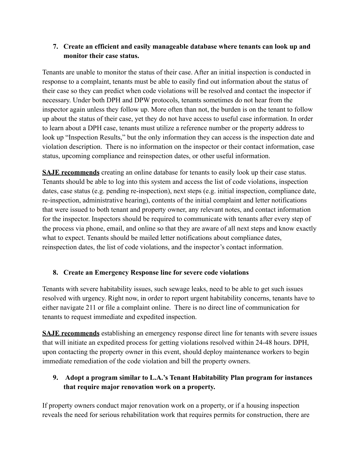### **7. Create an efficient and easily manageable database where tenants can look up and monitor their case status.**

Tenants are unable to monitor the status of their case. After an initial inspection is conducted in response to a complaint, tenants must be able to easily find out information about the status of their case so they can predict when code violations will be resolved and contact the inspector if necessary. Under both DPH and DPW protocols, tenants sometimes do not hear from the inspector again unless they follow up. More often than not, the burden is on the tenant to follow up about the status of their case, yet they do not have access to useful case information. In order to learn about a DPH case, tenants must utilize a reference number or the property address to look up "Inspection Results," but the only information they can access is the inspection date and violation description. There is no information on the inspector or their contact information, case status, upcoming compliance and reinspection dates, or other useful information.

**SAJE recommends** creating an online database for tenants to easily look up their case status. Tenants should be able to log into this system and access the list of code violations, inspection dates, case status (e.g. pending re-inspection), next steps (e.g. initial inspection, compliance date, re-inspection, administrative hearing), contents of the initial complaint and letter notifications that were issued to both tenant and property owner, any relevant notes, and contact information for the inspector. Inspectors should be required to communicate with tenants after every step of the process via phone, email, and online so that they are aware of all next steps and know exactly what to expect. Tenants should be mailed letter notifications about compliance dates, reinspection dates, the list of code violations, and the inspector's contact information.

# **8. Create an Emergency Response line for severe code violations**

Tenants with severe habitability issues, such sewage leaks, need to be able to get such issues resolved with urgency. Right now, in order to report urgent habitability concerns, tenants have to either navigate 211 or file a complaint online. There is no direct line of communication for tenants to request immediate and expedited inspection.

**SAJE recommends** establishing an emergency response direct line for tenants with severe issues that will initiate an expedited process for getting violations resolved within 24-48 hours. DPH, upon contacting the property owner in this event, should deploy maintenance workers to begin immediate remediation of the code violation and bill the property owners.

# **9. Adopt a program similar to L.A.'s Tenant Habitability Plan program for instances that require major renovation work on a property.**

If property owners conduct major renovation work on a property, or if a housing inspection reveals the need for serious rehabilitation work that requires permits for construction, there are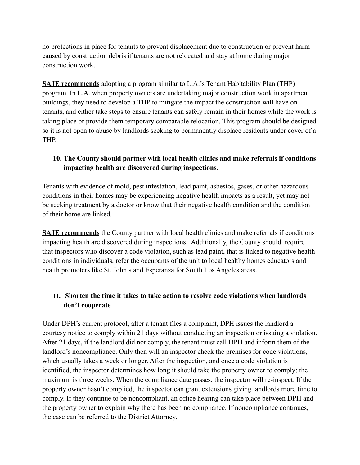no protections in place for tenants to prevent displacement due to construction or prevent harm caused by construction debris if tenants are not relocated and stay at home during major construction work.

**SAJE recommends** adopting a program similar to L.A.'s Tenant Habitability Plan (THP) program. In L.A. when property owners are undertaking major construction work in apartment buildings, they need to develop a THP to mitigate the impact the construction will have on tenants, and either take steps to ensure tenants can safely remain in their homes while the work is taking place or provide them temporary comparable relocation. This program should be designed so it is not open to abuse by landlords seeking to permanently displace residents under cover of a THP.

# **10. The County should partner with local health clinics and make referrals if conditions impacting health are discovered during inspections.**

Tenants with evidence of mold, pest infestation, lead paint, asbestos, gases, or other hazardous conditions in their homes may be experiencing negative health impacts as a result, yet may not be seeking treatment by a doctor or know that their negative health condition and the condition of their home are linked.

**SAJE recommends** the County partner with local health clinics and make referrals if conditions impacting health are discovered during inspections. Additionally, the County should require that inspectors who discover a code violation, such as lead paint, that is linked to negative health conditions in individuals, refer the occupants of the unit to local healthy homes educators and health promoters like St. John's and Esperanza for South Los Angeles areas.

### **11. Shorten the time it takes to take action to resolve code violations when landlords don't cooperate**

Under DPH's current protocol, after a tenant files a complaint, DPH issues the landlord a courtesy notice to comply within 21 days without conducting an inspection or issuing a violation. After 21 days, if the landlord did not comply, the tenant must call DPH and inform them of the landlord's noncompliance. Only then will an inspector check the premises for code violations, which usually takes a week or longer. After the inspection, and once a code violation is identified, the inspector determines how long it should take the property owner to comply; the maximum is three weeks. When the compliance date passes, the inspector will re-inspect. If the property owner hasn't complied, the inspector can grant extensions giving landlords more time to comply. If they continue to be noncompliant, an office hearing can take place between DPH and the property owner to explain why there has been no compliance. If noncompliance continues, the case can be referred to the District Attorney.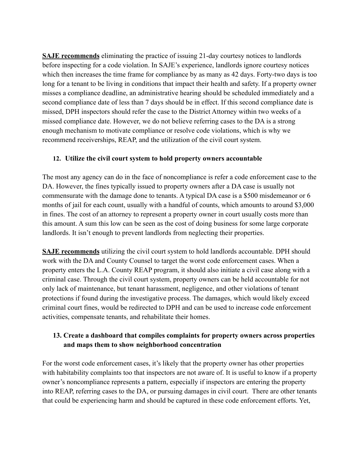**SAJE recommends** eliminating the practice of issuing 21-day courtesy notices to landlords before inspecting for a code violation. In SAJE's experience, landlords ignore courtesy notices which then increases the time frame for compliance by as many as 42 days. Forty-two days is too long for a tenant to be living in conditions that impact their health and safety. If a property owner misses a compliance deadline, an administrative hearing should be scheduled immediately and a second compliance date of less than 7 days should be in effect. If this second compliance date is missed, DPH inspectors should refer the case to the District Attorney within two weeks of a missed compliance date. However, we do not believe referring cases to the DA is a strong enough mechanism to motivate compliance or resolve code violations, which is why we recommend receiverships, REAP, and the utilization of the civil court system.

#### **12. Utilize the civil court system to hold property owners accountable**

The most any agency can do in the face of noncompliance is refer a code enforcement case to the DA. However, the fines typically issued to property owners after a DA case is usually not commensurate with the damage done to tenants. A typical DA case is a \$500 misdemeanor or 6 months of jail for each count, usually with a handful of counts, which amounts to around \$3,000 in fines. The cost of an attorney to represent a property owner in court usually costs more than this amount. A sum this low can be seen as the cost of doing business for some large corporate landlords. It isn't enough to prevent landlords from neglecting their properties.

**SAJE recommends** utilizing the civil court system to hold landlords accountable. DPH should work with the DA and County Counsel to target the worst code enforcement cases. When a property enters the L.A. County REAP program, it should also initiate a civil case along with a criminal case. Through the civil court system, property owners can be held accountable for not only lack of maintenance, but tenant harassment, negligence, and other violations of tenant protections if found during the investigative process. The damages, which would likely exceed criminal court fines, would be redirected to DPH and can be used to increase code enforcement activities, compensate tenants, and rehabilitate their homes.

### **13. Create a dashboard that compiles complaints for property owners across properties and maps them to show neighborhood concentration**

For the worst code enforcement cases, it's likely that the property owner has other properties with habitability complaints too that inspectors are not aware of. It is useful to know if a property owner's noncompliance represents a pattern, especially if inspectors are entering the property into REAP, referring cases to the DA, or pursuing damages in civil court. There are other tenants that could be experiencing harm and should be captured in these code enforcement efforts. Yet,